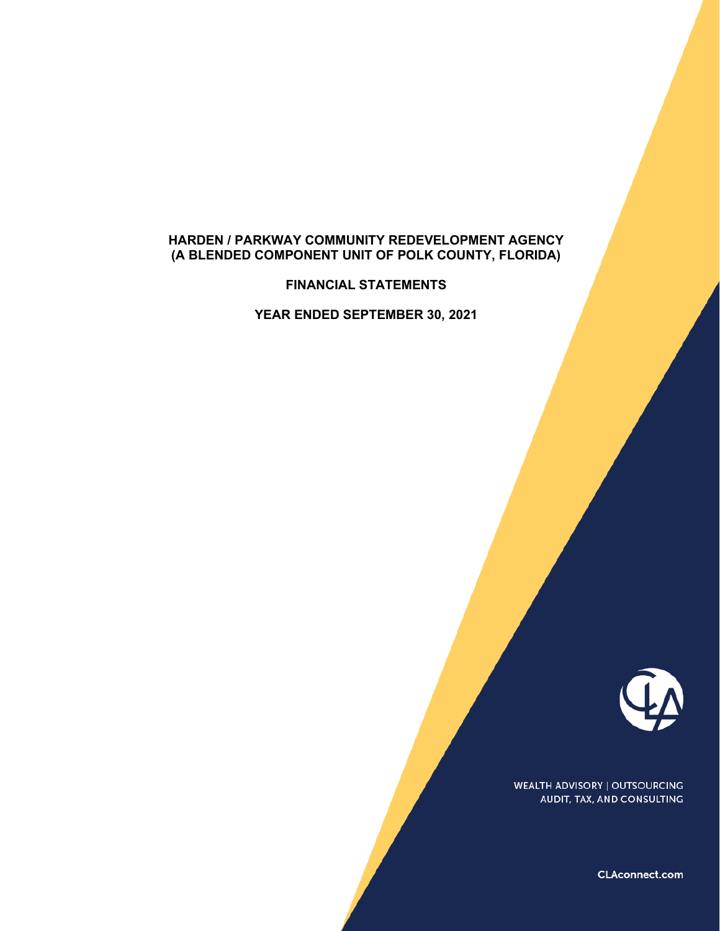# **HARDEN / PARKWAY COMMUNITY REDEVELOPMENT AGENCY (A BLENDED COMPONENT UNIT OF POLK COUNTY, FLORIDA)**

**FINANCIAL STATEMENTS** 

**YEAR ENDED SEPTEMBER 30, 2021**



**WEALTH ADVISORY | OUTSOURCING** AUDIT, TAX, AND CONSULTING

CLAconnect.com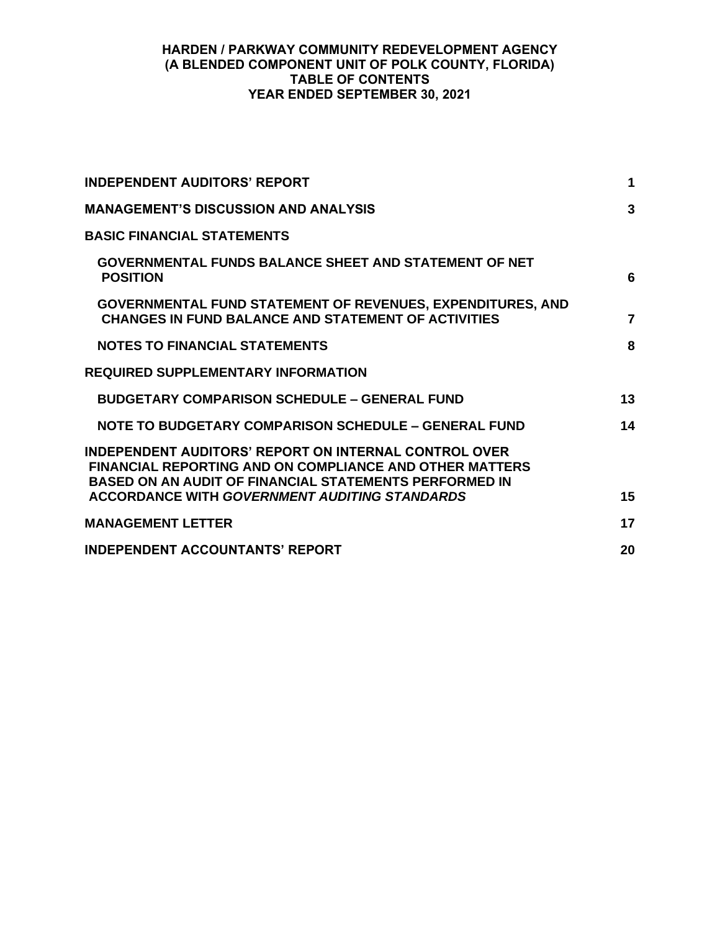# **HARDEN / PARKWAY COMMUNITY REDEVELOPMENT AGENCY (A BLENDED COMPONENT UNIT OF POLK COUNTY, FLORIDA) TABLE OF CONTENTS YEAR ENDED SEPTEMBER 30, 2021**

| <b>INDEPENDENT AUDITORS' REPORT</b>                                                                                                                                                                                                              | $\blacktriangleleft$ |
|--------------------------------------------------------------------------------------------------------------------------------------------------------------------------------------------------------------------------------------------------|----------------------|
| <b>MANAGEMENT'S DISCUSSION AND ANALYSIS</b>                                                                                                                                                                                                      | $\overline{3}$       |
| <b>BASIC FINANCIAL STATEMENTS</b>                                                                                                                                                                                                                |                      |
| <b>GOVERNMENTAL FUNDS BALANCE SHEET AND STATEMENT OF NET</b><br><b>POSITION</b>                                                                                                                                                                  | 6                    |
| <b>GOVERNMENTAL FUND STATEMENT OF REVENUES, EXPENDITURES, AND</b><br><b>CHANGES IN FUND BALANCE AND STATEMENT OF ACTIVITIES</b>                                                                                                                  | $\overline{7}$       |
| <b>NOTES TO FINANCIAL STATEMENTS</b>                                                                                                                                                                                                             | 8                    |
| <b>REQUIRED SUPPLEMENTARY INFORMATION</b>                                                                                                                                                                                                        |                      |
| <b>BUDGETARY COMPARISON SCHEDULE - GENERAL FUND</b>                                                                                                                                                                                              | 13                   |
| <b>NOTE TO BUDGETARY COMPARISON SCHEDULE – GENERAL FUND</b>                                                                                                                                                                                      | 14                   |
| INDEPENDENT AUDITORS' REPORT ON INTERNAL CONTROL OVER<br><b>FINANCIAL REPORTING AND ON COMPLIANCE AND OTHER MATTERS</b><br><b>BASED ON AN AUDIT OF FINANCIAL STATEMENTS PERFORMED IN</b><br><b>ACCORDANCE WITH GOVERNMENT AUDITING STANDARDS</b> | 15                   |
|                                                                                                                                                                                                                                                  |                      |
| <b>MANAGEMENT LETTER</b>                                                                                                                                                                                                                         | 17                   |
| <b>INDEPENDENT ACCOUNTANTS' REPORT</b>                                                                                                                                                                                                           | 20                   |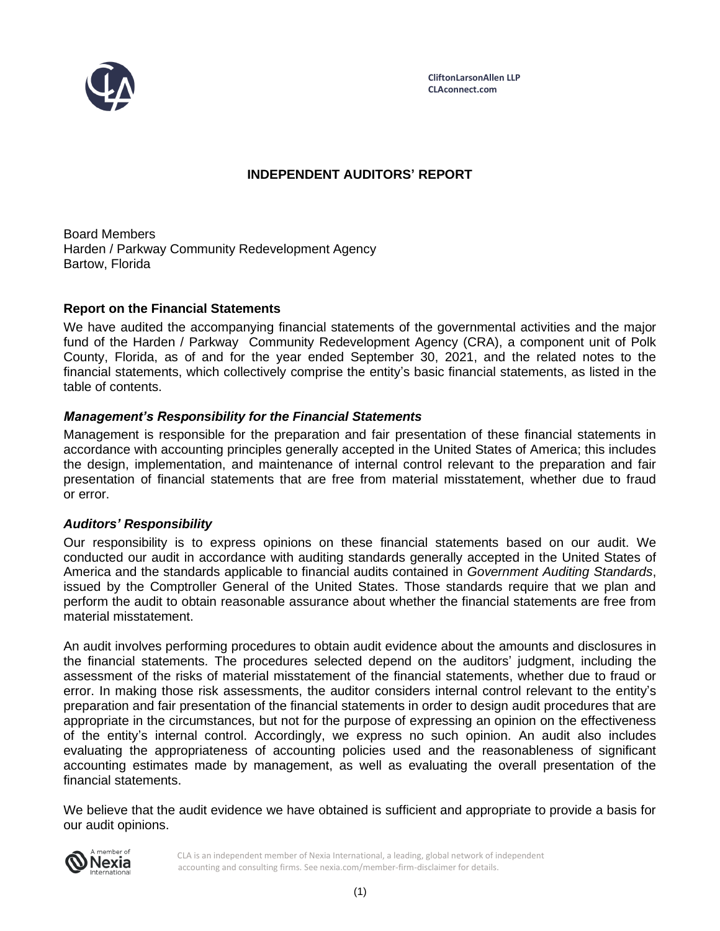

# **INDEPENDENT AUDITORS' REPORT**

Board Members Harden / Parkway Community Redevelopment Agency Bartow, Florida

# **Report on the Financial Statements**

We have audited the accompanying financial statements of the governmental activities and the major fund of the Harden / Parkway Community Redevelopment Agency (CRA), a component unit of Polk County, Florida, as of and for the year ended September 30, 2021, and the related notes to the financial statements, which collectively comprise the entity's basic financial statements, as listed in the table of contents.

# *Management's Responsibility for the Financial Statements*

Management is responsible for the preparation and fair presentation of these financial statements in accordance with accounting principles generally accepted in the United States of America; this includes the design, implementation, and maintenance of internal control relevant to the preparation and fair presentation of financial statements that are free from material misstatement, whether due to fraud or error.

# *Auditors' Responsibility*

Our responsibility is to express opinions on these financial statements based on our audit. We conducted our audit in accordance with auditing standards generally accepted in the United States of America and the standards applicable to financial audits contained in *Government Auditing Standards*, issued by the Comptroller General of the United States. Those standards require that we plan and perform the audit to obtain reasonable assurance about whether the financial statements are free from material misstatement.

An audit involves performing procedures to obtain audit evidence about the amounts and disclosures in the financial statements. The procedures selected depend on the auditors' judgment, including the assessment of the risks of material misstatement of the financial statements, whether due to fraud or error. In making those risk assessments, the auditor considers internal control relevant to the entity's preparation and fair presentation of the financial statements in order to design audit procedures that are appropriate in the circumstances, but not for the purpose of expressing an opinion on the effectiveness of the entity's internal control. Accordingly, we express no such opinion. An audit also includes evaluating the appropriateness of accounting policies used and the reasonableness of significant accounting estimates made by management, as well as evaluating the overall presentation of the financial statements.

We believe that the audit evidence we have obtained is sufficient and appropriate to provide a basis for our audit opinions.



CLA is an independent member of Nexia International, a leading, global network of independent accounting and consulting firms. See nexia.com/member-firm-disclaimer for details.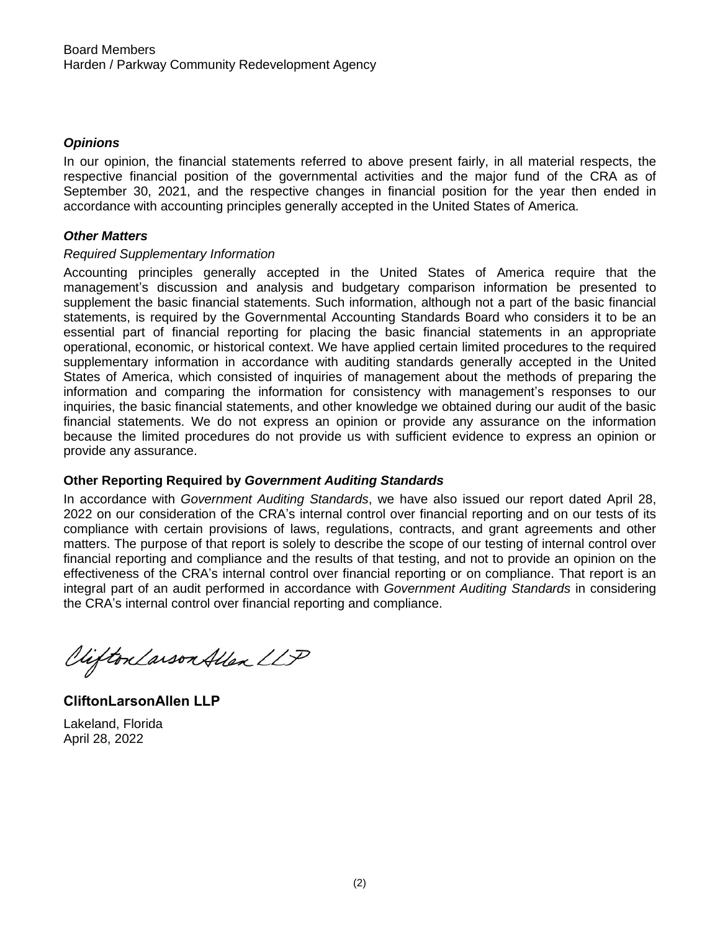# *Opinions*

In our opinion, the financial statements referred to above present fairly, in all material respects, the respective financial position of the governmental activities and the major fund of the CRA as of September 30, 2021, and the respective changes in financial position for the year then ended in accordance with accounting principles generally accepted in the United States of America.

# *Other Matters*

# *Required Supplementary Information*

Accounting principles generally accepted in the United States of America require that the management's discussion and analysis and budgetary comparison information be presented to supplement the basic financial statements. Such information, although not a part of the basic financial statements, is required by the Governmental Accounting Standards Board who considers it to be an essential part of financial reporting for placing the basic financial statements in an appropriate operational, economic, or historical context. We have applied certain limited procedures to the required supplementary information in accordance with auditing standards generally accepted in the United States of America, which consisted of inquiries of management about the methods of preparing the information and comparing the information for consistency with management's responses to our inquiries, the basic financial statements, and other knowledge we obtained during our audit of the basic financial statements. We do not express an opinion or provide any assurance on the information because the limited procedures do not provide us with sufficient evidence to express an opinion or provide any assurance.

# **Other Reporting Required by** *Government Auditing Standards*

In accordance with *Government Auditing Standards*, we have also issued our report dated April 28, 2022 on our consideration of the CRA's internal control over financial reporting and on our tests of its compliance with certain provisions of laws, regulations, contracts, and grant agreements and other matters. The purpose of that report is solely to describe the scope of our testing of internal control over financial reporting and compliance and the results of that testing, and not to provide an opinion on the effectiveness of the CRA's internal control over financial reporting or on compliance. That report is an integral part of an audit performed in accordance with *Government Auditing Standards* in considering the CRA's internal control over financial reporting and compliance.

Clifton Larson Allen LLP

**CliftonLarsonAllen LLP**  Lakeland, Florida April 28, 2022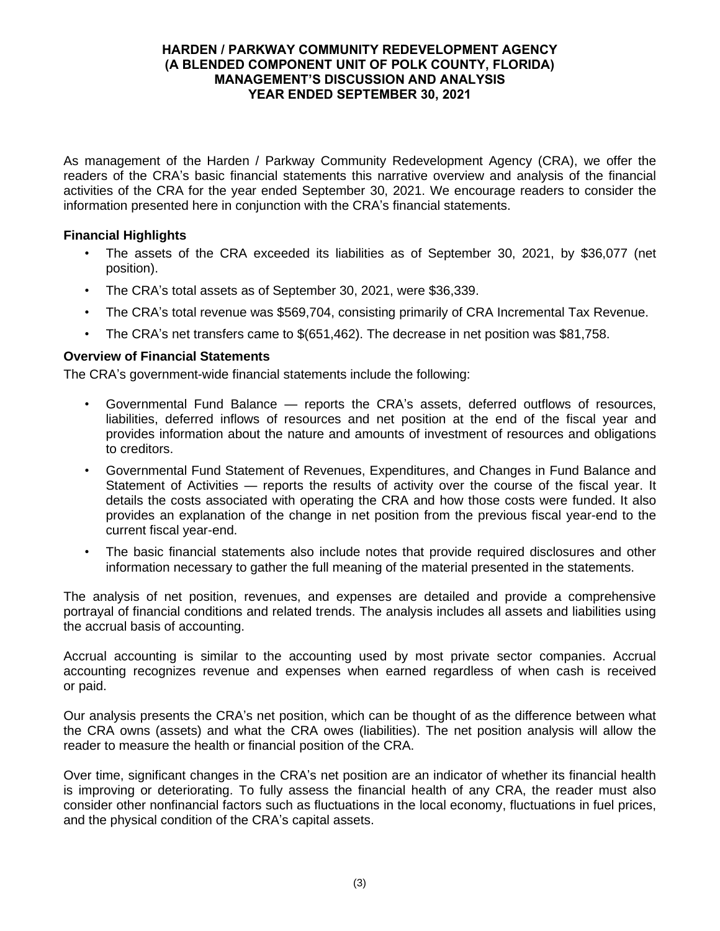### **HARDEN / PARKWAY COMMUNITY REDEVELOPMENT AGENCY (A BLENDED COMPONENT UNIT OF POLK COUNTY, FLORIDA) MANAGEMENT'S DISCUSSION AND ANALYSIS YEAR ENDED SEPTEMBER 30, 2021**

As management of the Harden / Parkway Community Redevelopment Agency (CRA), we offer the readers of the CRA's basic financial statements this narrative overview and analysis of the financial activities of the CRA for the year ended September 30, 2021. We encourage readers to consider the information presented here in conjunction with the CRA's financial statements.

# **Financial Highlights**

- The assets of the CRA exceeded its liabilities as of September 30, 2021, by \$36,077 (net position).
- The CRA's total assets as of September 30, 2021, were \$36,339.
- The CRA's total revenue was \$569,704, consisting primarily of CRA Incremental Tax Revenue.
- The CRA's net transfers came to \$(651,462). The decrease in net position was \$81,758.

# **Overview of Financial Statements**

The CRA's government-wide financial statements include the following:

- Governmental Fund Balance reports the CRA's assets, deferred outflows of resources, liabilities, deferred inflows of resources and net position at the end of the fiscal year and provides information about the nature and amounts of investment of resources and obligations to creditors.
- Governmental Fund Statement of Revenues, Expenditures, and Changes in Fund Balance and Statement of Activities — reports the results of activity over the course of the fiscal year. It details the costs associated with operating the CRA and how those costs were funded. It also provides an explanation of the change in net position from the previous fiscal year-end to the current fiscal year-end.
- The basic financial statements also include notes that provide required disclosures and other information necessary to gather the full meaning of the material presented in the statements.

The analysis of net position, revenues, and expenses are detailed and provide a comprehensive portrayal of financial conditions and related trends. The analysis includes all assets and liabilities using the accrual basis of accounting.

Accrual accounting is similar to the accounting used by most private sector companies. Accrual accounting recognizes revenue and expenses when earned regardless of when cash is received or paid.

Our analysis presents the CRA's net position, which can be thought of as the difference between what the CRA owns (assets) and what the CRA owes (liabilities). The net position analysis will allow the reader to measure the health or financial position of the CRA.

Over time, significant changes in the CRA's net position are an indicator of whether its financial health is improving or deteriorating. To fully assess the financial health of any CRA, the reader must also consider other nonfinancial factors such as fluctuations in the local economy, fluctuations in fuel prices, and the physical condition of the CRA's capital assets.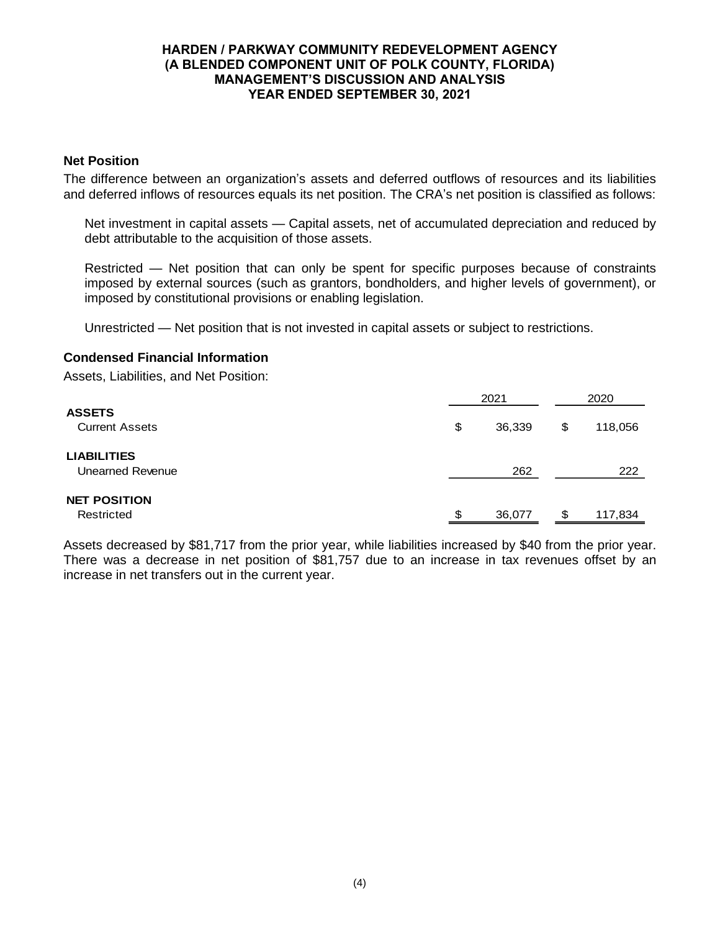#### **HARDEN / PARKWAY COMMUNITY REDEVELOPMENT AGENCY (A BLENDED COMPONENT UNIT OF POLK COUNTY, FLORIDA) MANAGEMENT'S DISCUSSION AND ANALYSIS YEAR ENDED SEPTEMBER 30, 2021**

#### **Net Position**

The difference between an organization's assets and deferred outflows of resources and its liabilities and deferred inflows of resources equals its net position. The CRA's net position is classified as follows:

Net investment in capital assets — Capital assets, net of accumulated depreciation and reduced by debt attributable to the acquisition of those assets.

Restricted — Net position that can only be spent for specific purposes because of constraints imposed by external sources (such as grantors, bondholders, and higher levels of government), or imposed by constitutional provisions or enabling legislation.

Unrestricted — Net position that is not invested in capital assets or subject to restrictions.

### **Condensed Financial Information**

Assets, Liabilities, and Net Position:

|                                        | 2021 |        | 2020 |         |
|----------------------------------------|------|--------|------|---------|
| <b>ASSETS</b><br><b>Current Assets</b> | \$   | 36,339 | \$   | 118,056 |
| <b>LIABILITIES</b><br>Unearned Revenue |      | 262    |      | 222     |
| <b>NET POSITION</b><br>Restricted      | \$   | 36,077 | S    | 117,834 |

Assets decreased by \$81,717 from the prior year, while liabilities increased by \$40 from the prior year. There was a decrease in net position of \$81,757 due to an increase in tax revenues offset by an increase in net transfers out in the current year.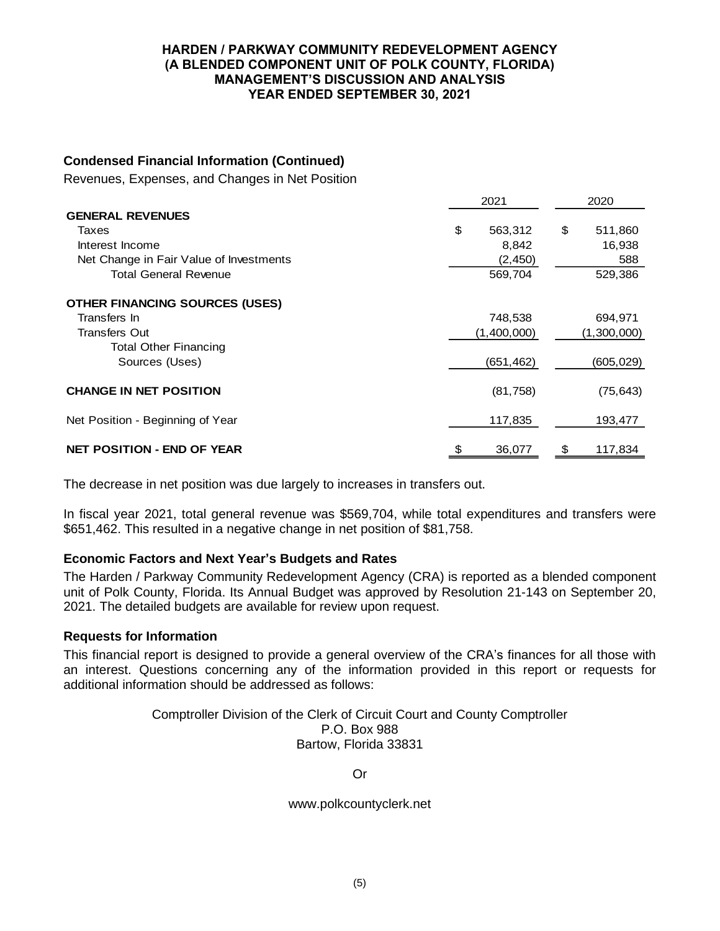#### **HARDEN / PARKWAY COMMUNITY REDEVELOPMENT AGENCY (A BLENDED COMPONENT UNIT OF POLK COUNTY, FLORIDA) MANAGEMENT'S DISCUSSION AND ANALYSIS YEAR ENDED SEPTEMBER 30, 2021**

## **Condensed Financial Information (Continued)**

Revenues, Expenses, and Changes in Net Position

|                                         | 2021 |             | 2020          |  |
|-----------------------------------------|------|-------------|---------------|--|
| <b>GENERAL REVENUES</b>                 |      |             |               |  |
| Taxes                                   | \$   | 563,312     | \$<br>511,860 |  |
| Interest Income                         |      | 8,842       | 16,938        |  |
| Net Change in Fair Value of Investments |      | (2, 450)    | 588           |  |
| <b>Total General Revenue</b>            |      | 569,704     | 529,386       |  |
| <b>OTHER FINANCING SOURCES (USES)</b>   |      |             |               |  |
| Transfers In                            |      | 748,538     | 694,971       |  |
| <b>Transfers Out</b>                    |      | (1,400,000) | (1,300,000)   |  |
| <b>Total Other Financing</b>            |      |             |               |  |
| Sources (Uses)                          |      | (651, 462)  | (605, 029)    |  |
| <b>CHANGE IN NET POSITION</b>           |      | (81,758)    | (75, 643)     |  |
| Net Position - Beginning of Year        |      | 117,835     | 193,477       |  |
| <b>NET POSITION - END OF YEAR</b>       | \$   | 36,077      | \$<br>117,834 |  |

The decrease in net position was due largely to increases in transfers out.

In fiscal year 2021, total general revenue was \$569,704, while total expenditures and transfers were \$651,462. This resulted in a negative change in net position of \$81,758.

# **Economic Factors and Next Year's Budgets and Rates**

The Harden / Parkway Community Redevelopment Agency (CRA) is reported as a blended component unit of Polk County, Florida. Its Annual Budget was approved by Resolution 21-143 on September 20, 2021. The detailed budgets are available for review upon request.

#### **Requests for Information**

This financial report is designed to provide a general overview of the CRA's finances for all those with an interest. Questions concerning any of the information provided in this report or requests for additional information should be addressed as follows:

#### Comptroller Division of the Clerk of Circuit Court and County Comptroller P.O. Box 988 Bartow, Florida 33831

Or

www.polkcountyclerk.net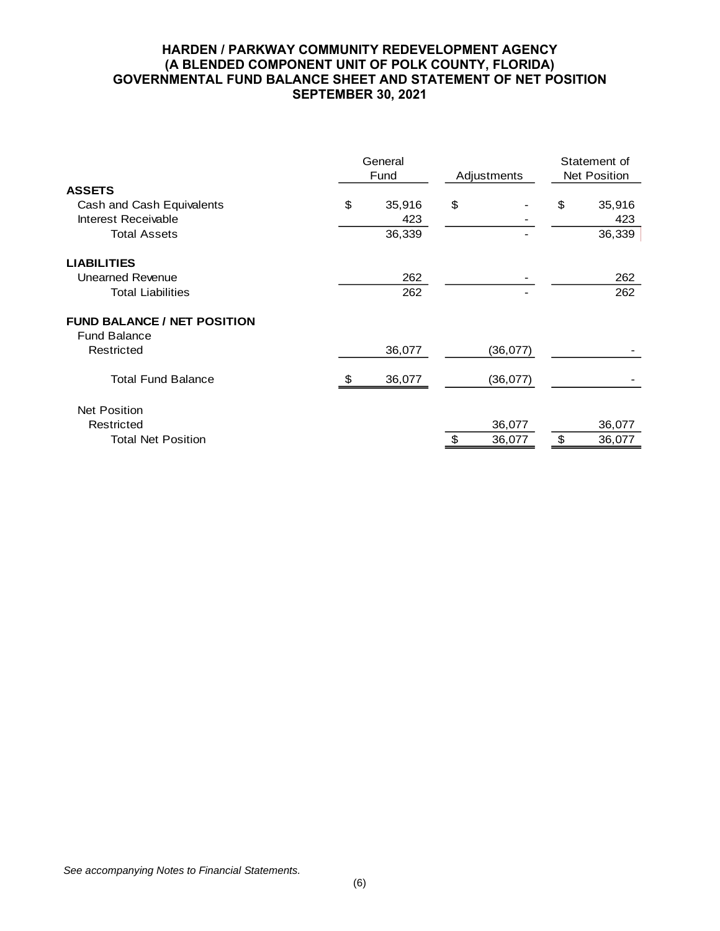## **HARDEN / PARKWAY COMMUNITY REDEVELOPMENT AGENCY (A BLENDED COMPONENT UNIT OF POLK COUNTY, FLORIDA) GOVERNMENTAL FUND BALANCE SHEET AND STATEMENT OF NET POSITION SEPTEMBER 30, 2021**

|                                                           | General<br>Fund |               |    |           |                     |  | Adjustments |  | Statement of<br><b>Net Position</b> |
|-----------------------------------------------------------|-----------------|---------------|----|-----------|---------------------|--|-------------|--|-------------------------------------|
| <b>ASSETS</b>                                             |                 |               |    |           |                     |  |             |  |                                     |
| Cash and Cash Equivalents<br>Interest Receivable          | \$              | 35,916<br>423 | \$ |           | \$<br>35,916<br>423 |  |             |  |                                     |
| <b>Total Assets</b>                                       |                 | 36,339        |    |           | 36,339              |  |             |  |                                     |
| <b>LIABILITIES</b>                                        |                 |               |    |           |                     |  |             |  |                                     |
| <b>Unearned Revenue</b>                                   |                 | 262           |    |           | 262                 |  |             |  |                                     |
| <b>Total Liabilities</b>                                  |                 | 262           |    |           | 262                 |  |             |  |                                     |
| <b>FUND BALANCE / NET POSITION</b><br><b>Fund Balance</b> |                 |               |    |           |                     |  |             |  |                                     |
| Restricted                                                |                 | 36,077        |    | (36,077)  |                     |  |             |  |                                     |
| <b>Total Fund Balance</b>                                 |                 | 36,077        |    | (36, 077) |                     |  |             |  |                                     |
| <b>Net Position</b>                                       |                 |               |    |           |                     |  |             |  |                                     |
| Restricted                                                |                 |               |    | 36,077    | 36,077              |  |             |  |                                     |
| <b>Total Net Position</b>                                 |                 |               | \$ | 36,077    | \$<br>36,077        |  |             |  |                                     |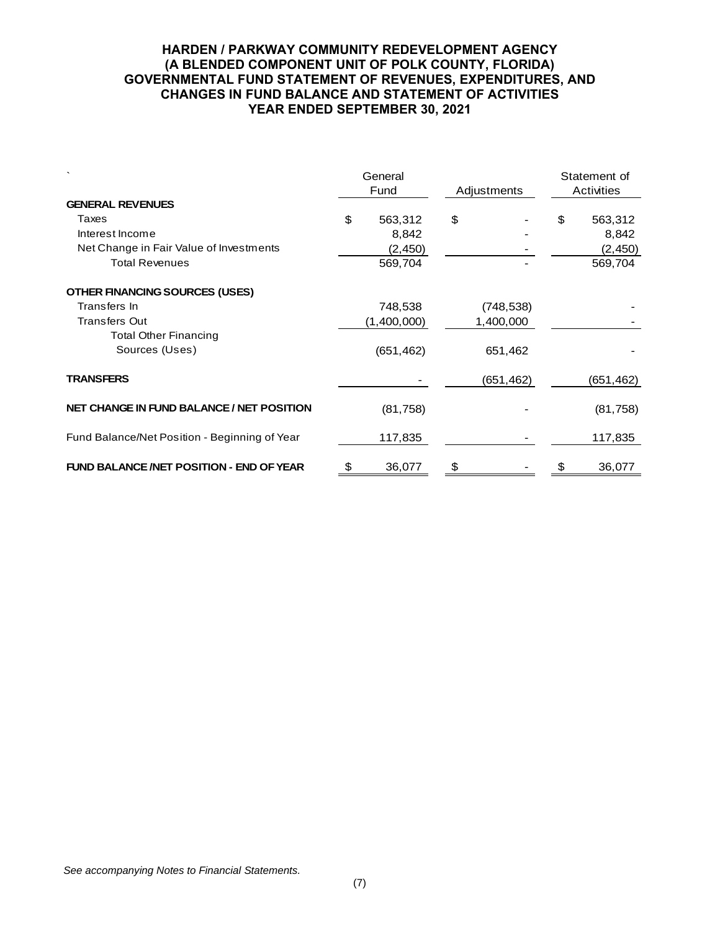### **HARDEN / PARKWAY COMMUNITY REDEVELOPMENT AGENCY (A BLENDED COMPONENT UNIT OF POLK COUNTY, FLORIDA) GOVERNMENTAL FUND STATEMENT OF REVENUES, EXPENDITURES, AND CHANGES IN FUND BALANCE AND STATEMENT OF ACTIVITIES YEAR ENDED SEPTEMBER 30, 2021**

|                                                  | General<br>Fund<br>Adjustments |    |            |    | Statement of<br>Activities |  |
|--------------------------------------------------|--------------------------------|----|------------|----|----------------------------|--|
| <b>GENERAL REVENUES</b>                          |                                |    |            |    |                            |  |
| Taxes                                            | \$<br>563,312                  | \$ |            | \$ | 563,312                    |  |
| Interest Income                                  | 8,842                          |    |            |    | 8,842                      |  |
| Net Change in Fair Value of Investments          | (2, 450)                       |    |            |    | (2, 450)                   |  |
| <b>Total Revenues</b>                            | 569,704                        |    |            |    | 569,704                    |  |
| <b>OTHER FINANCING SOURCES (USES)</b>            |                                |    |            |    |                            |  |
| Transfers In                                     | 748,538                        |    | (748, 538) |    |                            |  |
| <b>Transfers Out</b>                             | (1,400,000)                    |    | 1,400,000  |    |                            |  |
| <b>Total Other Financing</b>                     |                                |    |            |    |                            |  |
| Sources (Uses)                                   | (651, 462)                     |    | 651,462    |    |                            |  |
| <b>TRANSFERS</b>                                 |                                |    | (651, 462) |    | (651,462)                  |  |
| <b>NET CHANGE IN FUND BALANCE / NET POSITION</b> | (81, 758)                      |    |            |    | (81, 758)                  |  |
| Fund Balance/Net Position - Beginning of Year    | 117,835                        |    |            |    | 117,835                    |  |
| <b>FUND BALANCE /NET POSITION - END OF YEAR</b>  | 36,077                         |    |            |    | 36,077                     |  |
|                                                  |                                |    |            |    |                            |  |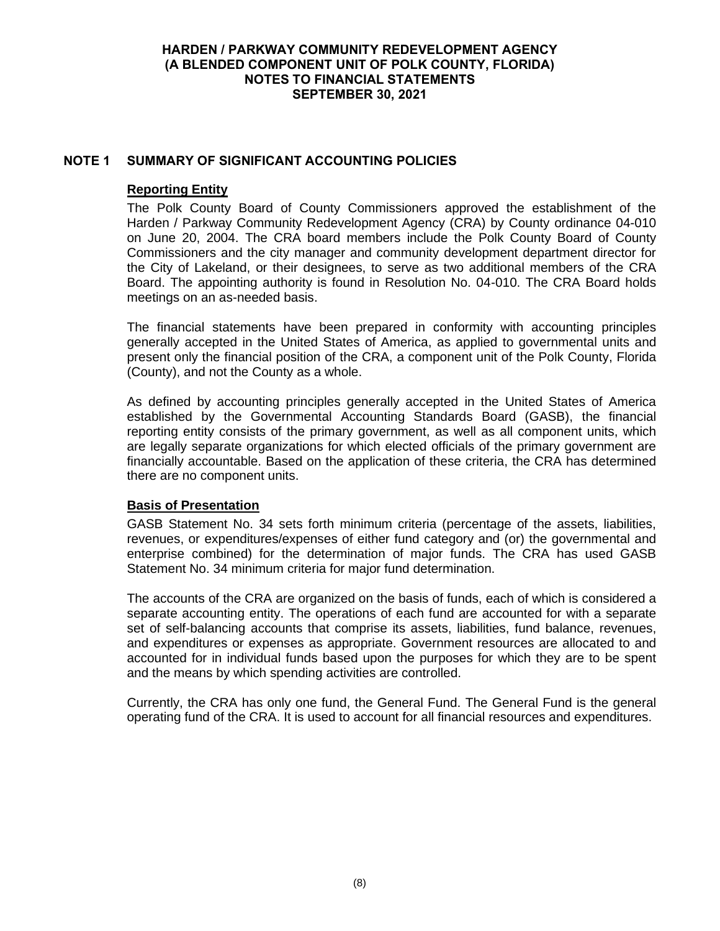# **NOTE 1 SUMMARY OF SIGNIFICANT ACCOUNTING POLICIES**

#### **Reporting Entity**

The Polk County Board of County Commissioners approved the establishment of the Harden / Parkway Community Redevelopment Agency (CRA) by County ordinance 04-010 on June 20, 2004. The CRA board members include the Polk County Board of County Commissioners and the city manager and community development department director for the City of Lakeland, or their designees, to serve as two additional members of the CRA Board. The appointing authority is found in Resolution No. 04-010. The CRA Board holds meetings on an as-needed basis.

The financial statements have been prepared in conformity with accounting principles generally accepted in the United States of America, as applied to governmental units and present only the financial position of the CRA, a component unit of the Polk County, Florida (County), and not the County as a whole.

As defined by accounting principles generally accepted in the United States of America established by the Governmental Accounting Standards Board (GASB), the financial reporting entity consists of the primary government, as well as all component units, which are legally separate organizations for which elected officials of the primary government are financially accountable. Based on the application of these criteria, the CRA has determined there are no component units.

#### **Basis of Presentation**

GASB Statement No. 34 sets forth minimum criteria (percentage of the assets, liabilities, revenues, or expenditures/expenses of either fund category and (or) the governmental and enterprise combined) for the determination of major funds. The CRA has used GASB Statement No. 34 minimum criteria for major fund determination.

The accounts of the CRA are organized on the basis of funds, each of which is considered a separate accounting entity. The operations of each fund are accounted for with a separate set of self-balancing accounts that comprise its assets, liabilities, fund balance, revenues, and expenditures or expenses as appropriate. Government resources are allocated to and accounted for in individual funds based upon the purposes for which they are to be spent and the means by which spending activities are controlled.

Currently, the CRA has only one fund, the General Fund. The General Fund is the general operating fund of the CRA. It is used to account for all financial resources and expenditures.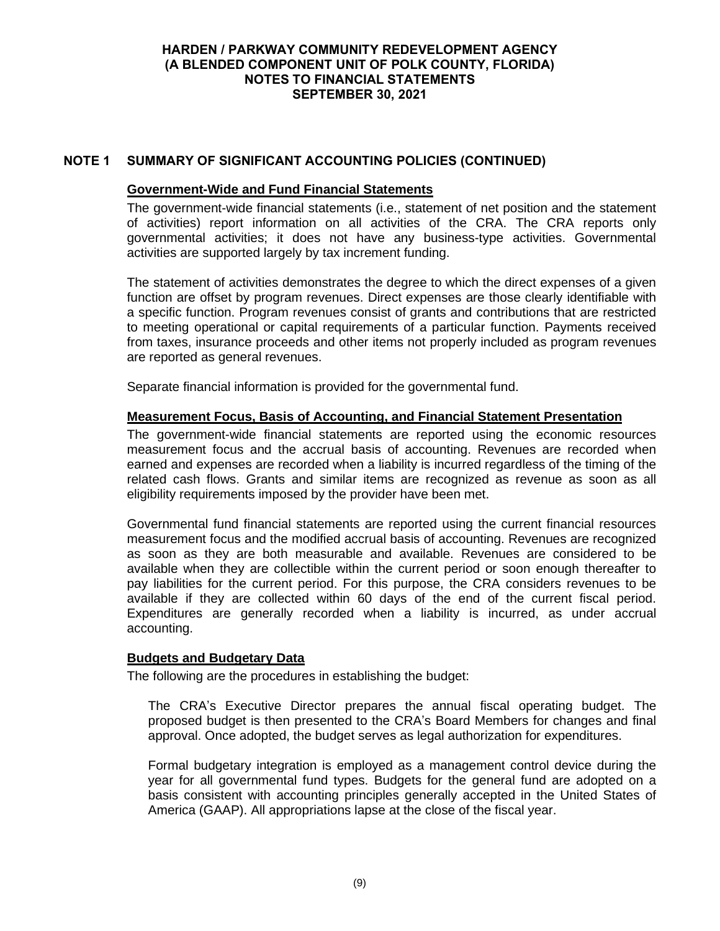# **NOTE 1 SUMMARY OF SIGNIFICANT ACCOUNTING POLICIES (CONTINUED)**

#### **Government-Wide and Fund Financial Statements**

The government-wide financial statements (i.e., statement of net position and the statement of activities) report information on all activities of the CRA. The CRA reports only governmental activities; it does not have any business-type activities. Governmental activities are supported largely by tax increment funding.

The statement of activities demonstrates the degree to which the direct expenses of a given function are offset by program revenues. Direct expenses are those clearly identifiable with a specific function. Program revenues consist of grants and contributions that are restricted to meeting operational or capital requirements of a particular function. Payments received from taxes, insurance proceeds and other items not properly included as program revenues are reported as general revenues.

Separate financial information is provided for the governmental fund.

### **Measurement Focus, Basis of Accounting, and Financial Statement Presentation**

The government-wide financial statements are reported using the economic resources measurement focus and the accrual basis of accounting. Revenues are recorded when earned and expenses are recorded when a liability is incurred regardless of the timing of the related cash flows. Grants and similar items are recognized as revenue as soon as all eligibility requirements imposed by the provider have been met.

Governmental fund financial statements are reported using the current financial resources measurement focus and the modified accrual basis of accounting. Revenues are recognized as soon as they are both measurable and available. Revenues are considered to be available when they are collectible within the current period or soon enough thereafter to pay liabilities for the current period. For this purpose, the CRA considers revenues to be available if they are collected within 60 days of the end of the current fiscal period. Expenditures are generally recorded when a liability is incurred, as under accrual accounting.

#### **Budgets and Budgetary Data**

The following are the procedures in establishing the budget:

The CRA's Executive Director prepares the annual fiscal operating budget. The proposed budget is then presented to the CRA's Board Members for changes and final approval. Once adopted, the budget serves as legal authorization for expenditures.

Formal budgetary integration is employed as a management control device during the year for all governmental fund types. Budgets for the general fund are adopted on a basis consistent with accounting principles generally accepted in the United States of America (GAAP). All appropriations lapse at the close of the fiscal year.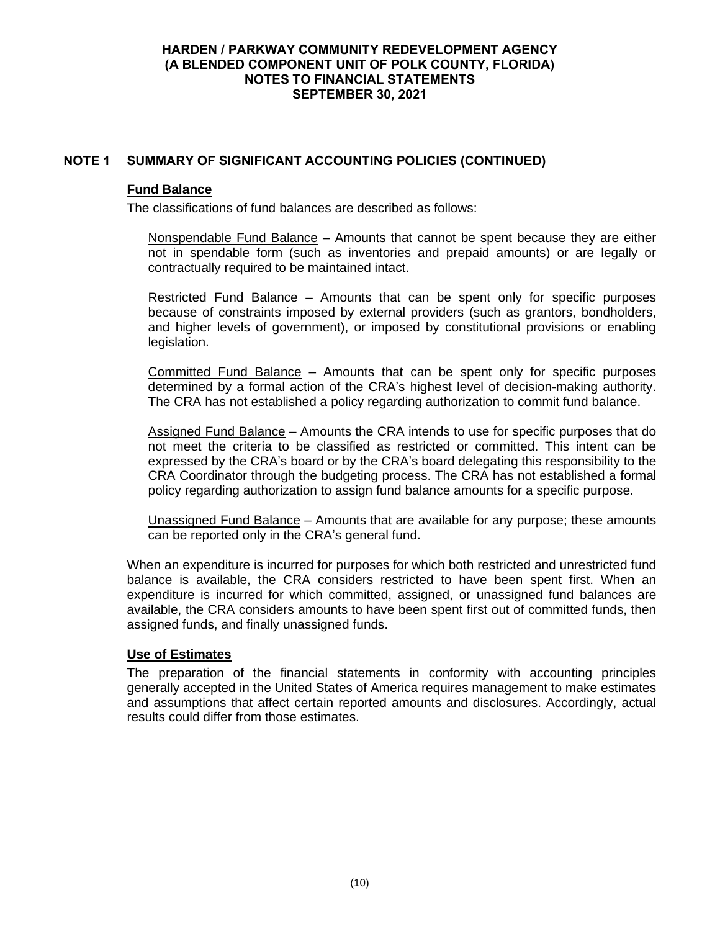# **NOTE 1 SUMMARY OF SIGNIFICANT ACCOUNTING POLICIES (CONTINUED)**

### **Fund Balance**

The classifications of fund balances are described as follows:

Nonspendable Fund Balance – Amounts that cannot be spent because they are either not in spendable form (such as inventories and prepaid amounts) or are legally or contractually required to be maintained intact.

Restricted Fund Balance – Amounts that can be spent only for specific purposes because of constraints imposed by external providers (such as grantors, bondholders, and higher levels of government), or imposed by constitutional provisions or enabling legislation.

Committed Fund Balance – Amounts that can be spent only for specific purposes determined by a formal action of the CRA's highest level of decision-making authority. The CRA has not established a policy regarding authorization to commit fund balance.

Assigned Fund Balance – Amounts the CRA intends to use for specific purposes that do not meet the criteria to be classified as restricted or committed. This intent can be expressed by the CRA's board or by the CRA's board delegating this responsibility to the CRA Coordinator through the budgeting process. The CRA has not established a formal policy regarding authorization to assign fund balance amounts for a specific purpose.

Unassigned Fund Balance – Amounts that are available for any purpose; these amounts can be reported only in the CRA's general fund.

When an expenditure is incurred for purposes for which both restricted and unrestricted fund balance is available, the CRA considers restricted to have been spent first. When an expenditure is incurred for which committed, assigned, or unassigned fund balances are available, the CRA considers amounts to have been spent first out of committed funds, then assigned funds, and finally unassigned funds.

# **Use of Estimates**

The preparation of the financial statements in conformity with accounting principles generally accepted in the United States of America requires management to make estimates and assumptions that affect certain reported amounts and disclosures. Accordingly, actual results could differ from those estimates.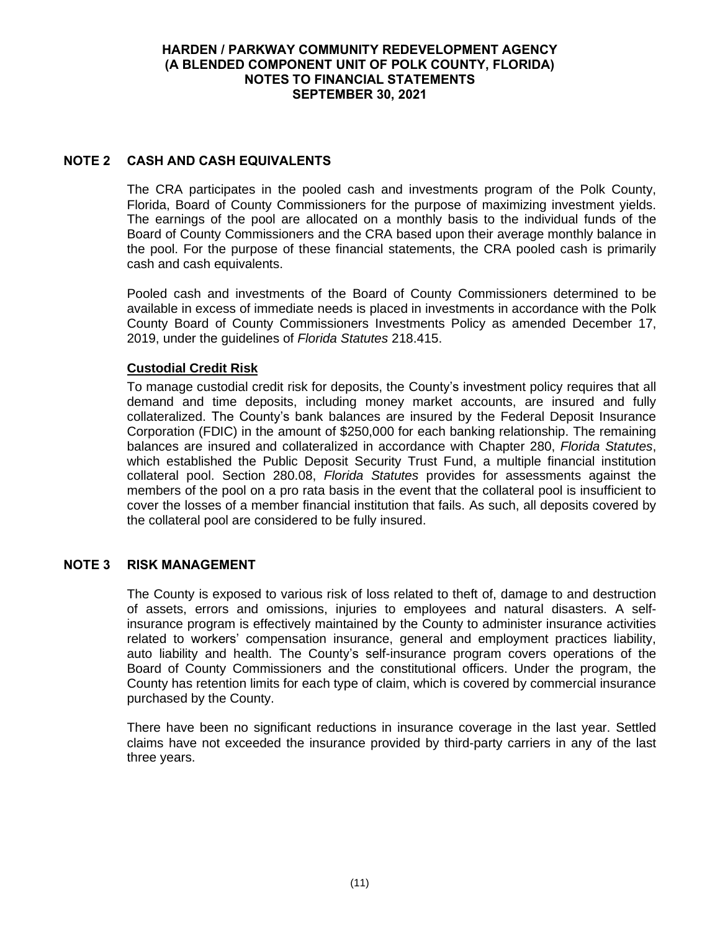# **NOTE 2 CASH AND CASH EQUIVALENTS**

The CRA participates in the pooled cash and investments program of the Polk County, Florida, Board of County Commissioners for the purpose of maximizing investment yields. The earnings of the pool are allocated on a monthly basis to the individual funds of the Board of County Commissioners and the CRA based upon their average monthly balance in the pool. For the purpose of these financial statements, the CRA pooled cash is primarily cash and cash equivalents.

Pooled cash and investments of the Board of County Commissioners determined to be available in excess of immediate needs is placed in investments in accordance with the Polk County Board of County Commissioners Investments Policy as amended December 17, 2019, under the guidelines of *Florida Statutes* 218.415.

# **Custodial Credit Risk**

To manage custodial credit risk for deposits, the County's investment policy requires that all demand and time deposits, including money market accounts, are insured and fully collateralized. The County's bank balances are insured by the Federal Deposit Insurance Corporation (FDIC) in the amount of \$250,000 for each banking relationship. The remaining balances are insured and collateralized in accordance with Chapter 280, *Florida Statutes*, which established the Public Deposit Security Trust Fund, a multiple financial institution collateral pool. Section 280.08, *Florida Statutes* provides for assessments against the members of the pool on a pro rata basis in the event that the collateral pool is insufficient to cover the losses of a member financial institution that fails. As such, all deposits covered by the collateral pool are considered to be fully insured.

# **NOTE 3 RISK MANAGEMENT**

The County is exposed to various risk of loss related to theft of, damage to and destruction of assets, errors and omissions, injuries to employees and natural disasters. A selfinsurance program is effectively maintained by the County to administer insurance activities related to workers' compensation insurance, general and employment practices liability, auto liability and health. The County's self-insurance program covers operations of the Board of County Commissioners and the constitutional officers. Under the program, the County has retention limits for each type of claim, which is covered by commercial insurance purchased by the County.

There have been no significant reductions in insurance coverage in the last year. Settled claims have not exceeded the insurance provided by third-party carriers in any of the last three years.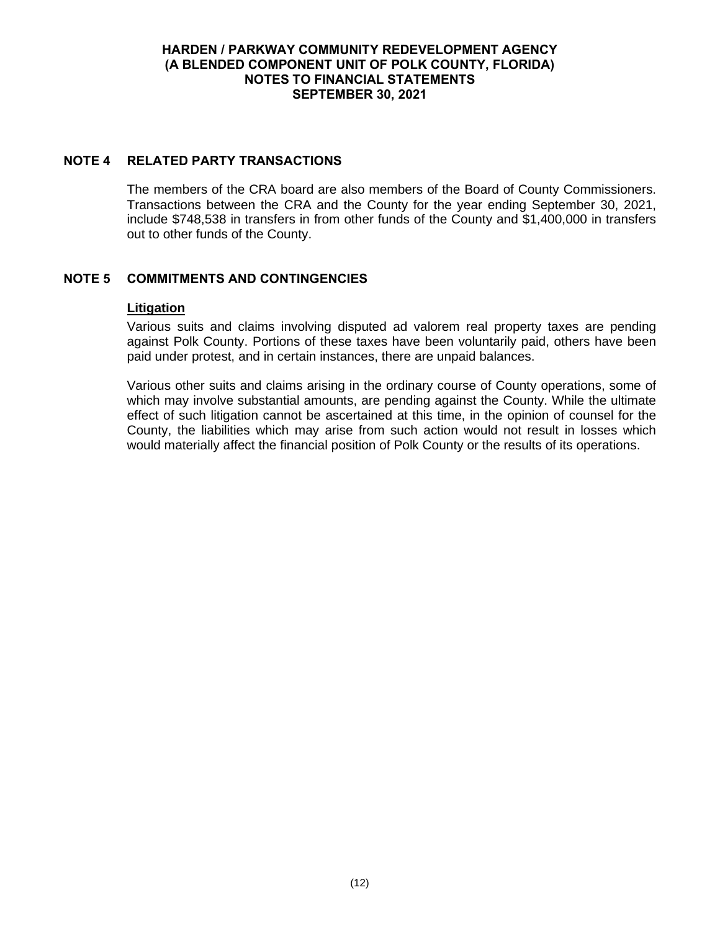### **NOTE 4 RELATED PARTY TRANSACTIONS**

The members of the CRA board are also members of the Board of County Commissioners. Transactions between the CRA and the County for the year ending September 30, 2021, include \$748,538 in transfers in from other funds of the County and \$1,400,000 in transfers out to other funds of the County.

# **NOTE 5 COMMITMENTS AND CONTINGENCIES**

#### **Litigation**

Various suits and claims involving disputed ad valorem real property taxes are pending against Polk County. Portions of these taxes have been voluntarily paid, others have been paid under protest, and in certain instances, there are unpaid balances.

Various other suits and claims arising in the ordinary course of County operations, some of which may involve substantial amounts, are pending against the County. While the ultimate effect of such litigation cannot be ascertained at this time, in the opinion of counsel for the County, the liabilities which may arise from such action would not result in losses which would materially affect the financial position of Polk County or the results of its operations.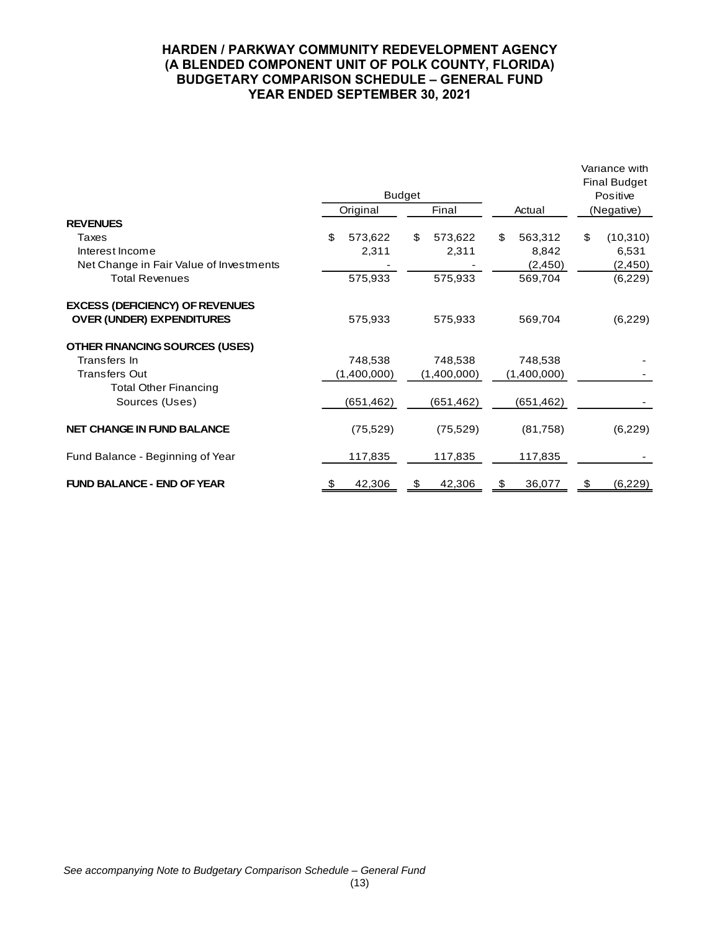### **HARDEN / PARKWAY COMMUNITY REDEVELOPMENT AGENCY (A BLENDED COMPONENT UNIT OF POLK COUNTY, FLORIDA) BUDGETARY COMPARISON SCHEDULE – GENERAL FUND YEAR ENDED SEPTEMBER 30, 2021**

|                                                                            |               |               |               | Variance with<br><b>Final Budget</b> |  |
|----------------------------------------------------------------------------|---------------|---------------|---------------|--------------------------------------|--|
|                                                                            |               | <b>Budget</b> |               | Positive                             |  |
|                                                                            | Original      | Final         | Actual        | (Negative)                           |  |
| <b>REVENUES</b>                                                            |               |               |               |                                      |  |
| Taxes                                                                      | \$<br>573,622 | \$<br>573,622 | \$<br>563,312 | \$<br>(10, 310)                      |  |
| Interest Income                                                            | 2,311         | 2,311         | 8,842         | 6,531                                |  |
| Net Change in Fair Value of Investments                                    |               |               | (2, 450)      | (2, 450)                             |  |
| <b>Total Revenues</b>                                                      | 575,933       | 575,933       | 569,704       | (6,229)                              |  |
| <b>EXCESS (DEFICIENCY) OF REVENUES</b><br><b>OVER (UNDER) EXPENDITURES</b> | 575,933       | 575,933       | 569,704       | (6,229)                              |  |
| <b>OTHER FINANCING SOURCES (USES)</b>                                      |               |               |               |                                      |  |
| Transfers In                                                               | 748,538       | 748,538       | 748,538       |                                      |  |
| <b>Transfers Out</b>                                                       | (1,400,000)   | (1,400,000)   | (1,400,000)   |                                      |  |
| <b>Total Other Financing</b>                                               |               |               |               |                                      |  |
| Sources (Uses)                                                             | (651,462)     | (651,462)     | (651,462)     |                                      |  |
| <b>NET CHANGE IN FUND BALANCE</b>                                          | (75, 529)     | (75, 529)     | (81,758)      | (6,229)                              |  |
| Fund Balance - Beginning of Year                                           | 117,835       | 117,835       | 117,835       |                                      |  |
| <b>FUND BALANCE - END OF YEAR</b>                                          | 42,306<br>\$  | 42,306<br>\$  | 36,077<br>\$  | \$<br>(6,229)                        |  |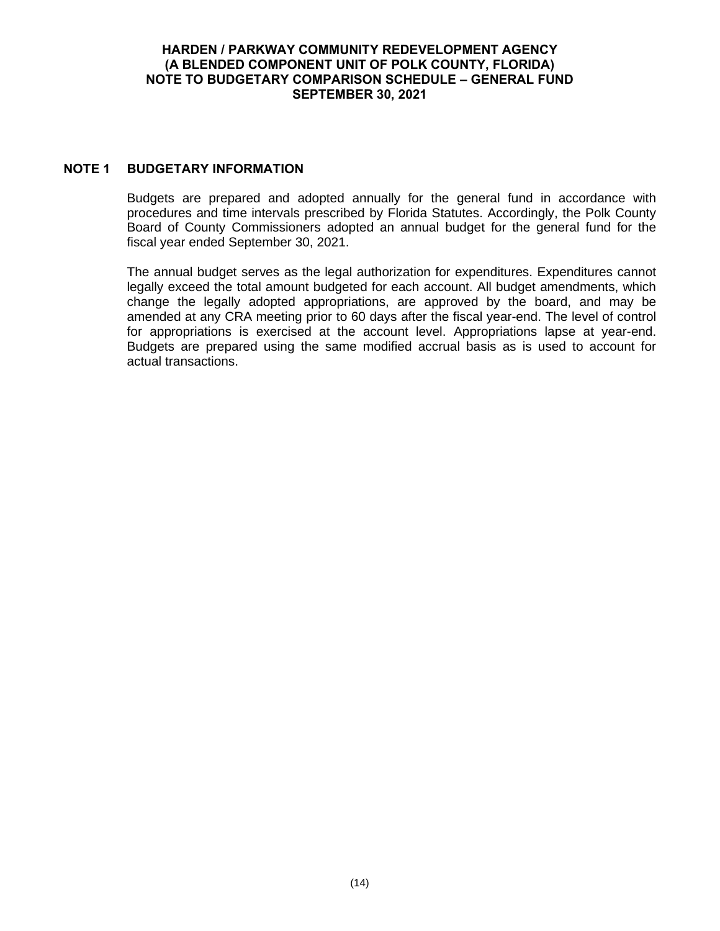### **HARDEN / PARKWAY COMMUNITY REDEVELOPMENT AGENCY (A BLENDED COMPONENT UNIT OF POLK COUNTY, FLORIDA) NOTE TO BUDGETARY COMPARISON SCHEDULE – GENERAL FUND SEPTEMBER 30, 2021**

## **NOTE 1 BUDGETARY INFORMATION**

Budgets are prepared and adopted annually for the general fund in accordance with procedures and time intervals prescribed by Florida Statutes. Accordingly, the Polk County Board of County Commissioners adopted an annual budget for the general fund for the fiscal year ended September 30, 2021.

The annual budget serves as the legal authorization for expenditures. Expenditures cannot legally exceed the total amount budgeted for each account. All budget amendments, which change the legally adopted appropriations, are approved by the board, and may be amended at any CRA meeting prior to 60 days after the fiscal year-end. The level of control for appropriations is exercised at the account level. Appropriations lapse at year-end. Budgets are prepared using the same modified accrual basis as is used to account for actual transactions.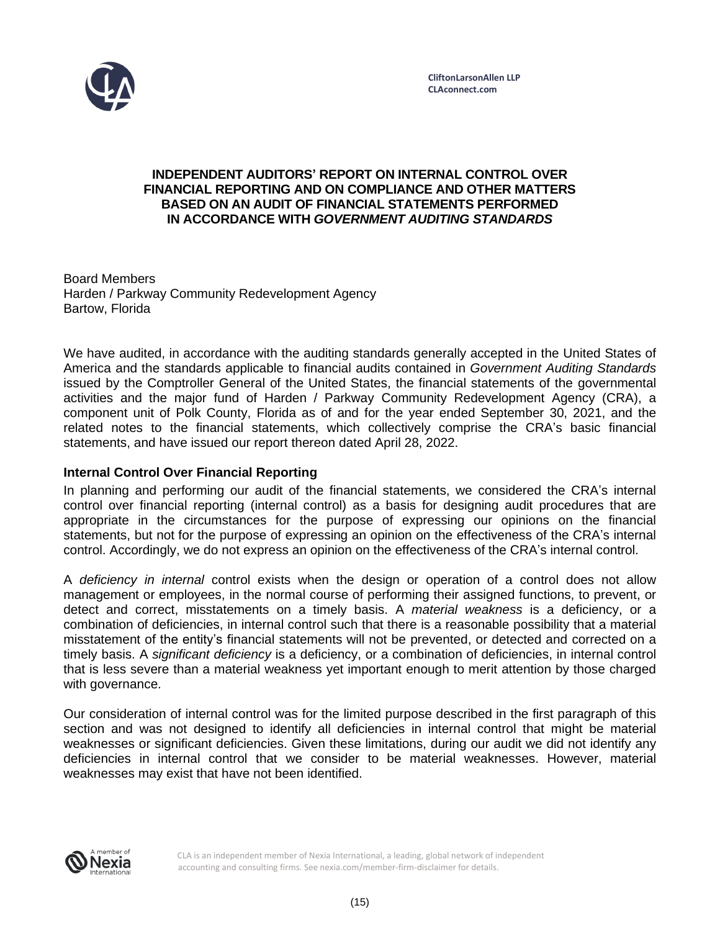

## **INDEPENDENT AUDITORS' REPORT ON INTERNAL CONTROL OVER FINANCIAL REPORTING AND ON COMPLIANCE AND OTHER MATTERS BASED ON AN AUDIT OF FINANCIAL STATEMENTS PERFORMED IN ACCORDANCE WITH** *GOVERNMENT AUDITING STANDARDS*

Board Members Harden / Parkway Community Redevelopment Agency Bartow, Florida

We have audited, in accordance with the auditing standards generally accepted in the United States of America and the standards applicable to financial audits contained in *Government Auditing Standards*  issued by the Comptroller General of the United States, the financial statements of the governmental activities and the major fund of Harden / Parkway Community Redevelopment Agency (CRA), a component unit of Polk County, Florida as of and for the year ended September 30, 2021, and the related notes to the financial statements, which collectively comprise the CRA's basic financial statements, and have issued our report thereon dated April 28, 2022.

# **Internal Control Over Financial Reporting**

In planning and performing our audit of the financial statements, we considered the CRA's internal control over financial reporting (internal control) as a basis for designing audit procedures that are appropriate in the circumstances for the purpose of expressing our opinions on the financial statements, but not for the purpose of expressing an opinion on the effectiveness of the CRA's internal control. Accordingly, we do not express an opinion on the effectiveness of the CRA's internal control.

A *deficiency in internal* control exists when the design or operation of a control does not allow management or employees, in the normal course of performing their assigned functions, to prevent, or detect and correct, misstatements on a timely basis. A *material weakness* is a deficiency, or a combination of deficiencies, in internal control such that there is a reasonable possibility that a material misstatement of the entity's financial statements will not be prevented, or detected and corrected on a timely basis. A *significant deficiency* is a deficiency, or a combination of deficiencies, in internal control that is less severe than a material weakness yet important enough to merit attention by those charged with governance.

Our consideration of internal control was for the limited purpose described in the first paragraph of this section and was not designed to identify all deficiencies in internal control that might be material weaknesses or significant deficiencies. Given these limitations, during our audit we did not identify any deficiencies in internal control that we consider to be material weaknesses. However, material weaknesses may exist that have not been identified.



CLA is an independent member of Nexia International, a leading, global network of independent accounting and consulting firms. See nexia.com/member-firm-disclaimer for details.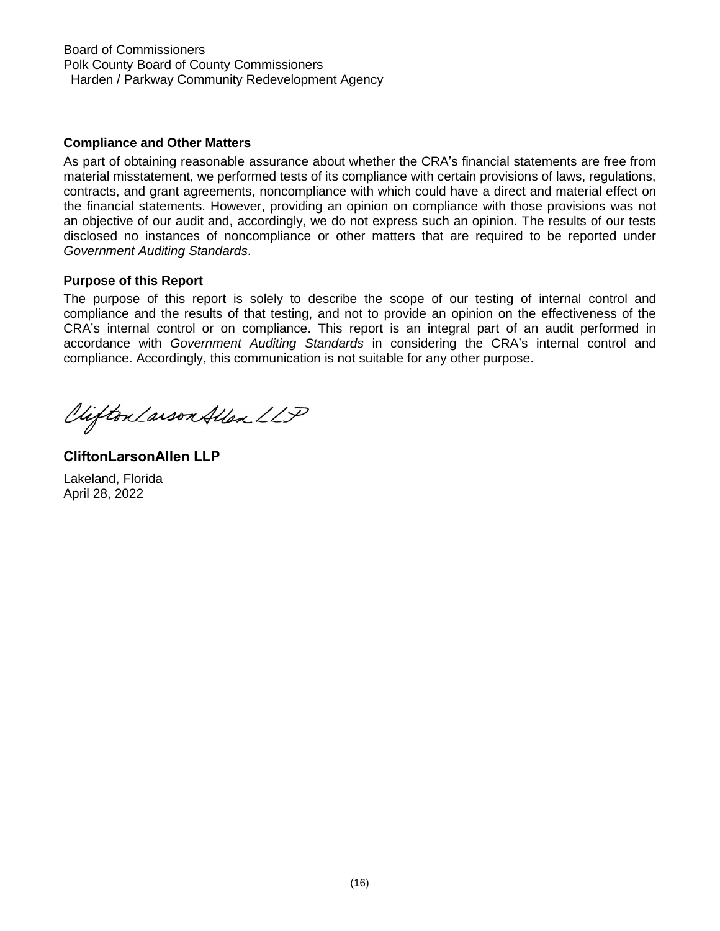Board of Commissioners Polk County Board of County Commissioners Harden / Parkway Community Redevelopment Agency

## **Compliance and Other Matters**

As part of obtaining reasonable assurance about whether the CRA's financial statements are free from material misstatement, we performed tests of its compliance with certain provisions of laws, regulations, contracts, and grant agreements, noncompliance with which could have a direct and material effect on the financial statements. However, providing an opinion on compliance with those provisions was not an objective of our audit and, accordingly, we do not express such an opinion. The results of our tests disclosed no instances of noncompliance or other matters that are required to be reported under *Government Auditing Standards*.

### **Purpose of this Report**

The purpose of this report is solely to describe the scope of our testing of internal control and compliance and the results of that testing, and not to provide an opinion on the effectiveness of the CRA's internal control or on compliance. This report is an integral part of an audit performed in accordance with *Government Auditing Standards* in considering the CRA's internal control and compliance. Accordingly, this communication is not suitable for any other purpose.

Clifton Larson Allen LLP

**CliftonLarsonAllen LLP** Lakeland, Florida April 28, 2022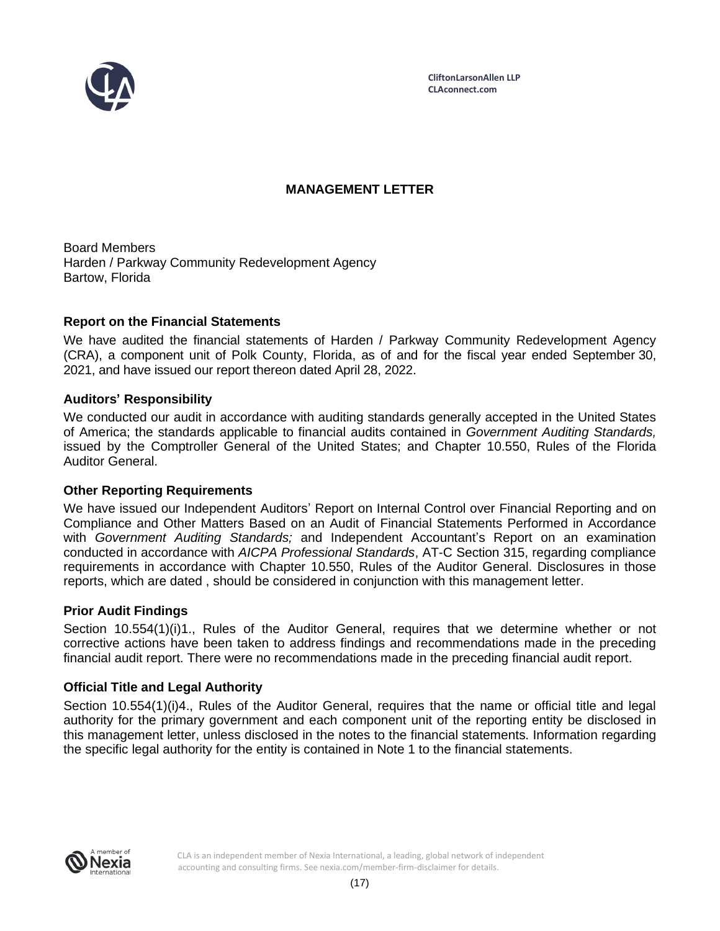

**CliftonLarsonAllen LLP CLAconnect.com**

# **MANAGEMENT LETTER**

Board Members Harden / Parkway Community Redevelopment Agency Bartow, Florida

#### **Report on the Financial Statements**

We have audited the financial statements of Harden / Parkway Community Redevelopment Agency (CRA), a component unit of Polk County, Florida, as of and for the fiscal year ended September 30, 2021, and have issued our report thereon dated April 28, 2022.

#### **Auditors' Responsibility**

We conducted our audit in accordance with auditing standards generally accepted in the United States of America; the standards applicable to financial audits contained in *Government Auditing Standards,*  issued by the Comptroller General of the United States; and Chapter 10.550, Rules of the Florida Auditor General.

#### **Other Reporting Requirements**

We have issued our Independent Auditors' Report on Internal Control over Financial Reporting and on Compliance and Other Matters Based on an Audit of Financial Statements Performed in Accordance with *Government Auditing Standards;* and Independent Accountant's Report on an examination conducted in accordance with *AICPA Professional Standards*, AT-C Section 315, regarding compliance requirements in accordance with Chapter 10.550, Rules of the Auditor General. Disclosures in those reports, which are dated , should be considered in conjunction with this management letter.

#### **Prior Audit Findings**

Section 10.554(1)(i)1., Rules of the Auditor General, requires that we determine whether or not corrective actions have been taken to address findings and recommendations made in the preceding financial audit report. There were no recommendations made in the preceding financial audit report.

#### **Official Title and Legal Authority**

Section 10.554(1)(i)4., Rules of the Auditor General, requires that the name or official title and legal authority for the primary government and each component unit of the reporting entity be disclosed in this management letter, unless disclosed in the notes to the financial statements. Information regarding the specific legal authority for the entity is contained in Note 1 to the financial statements.



CLA is an independent member of Nexia International, a leading, global network of independent accounting and consulting firms. See nexia.com/member-firm-disclaimer for details.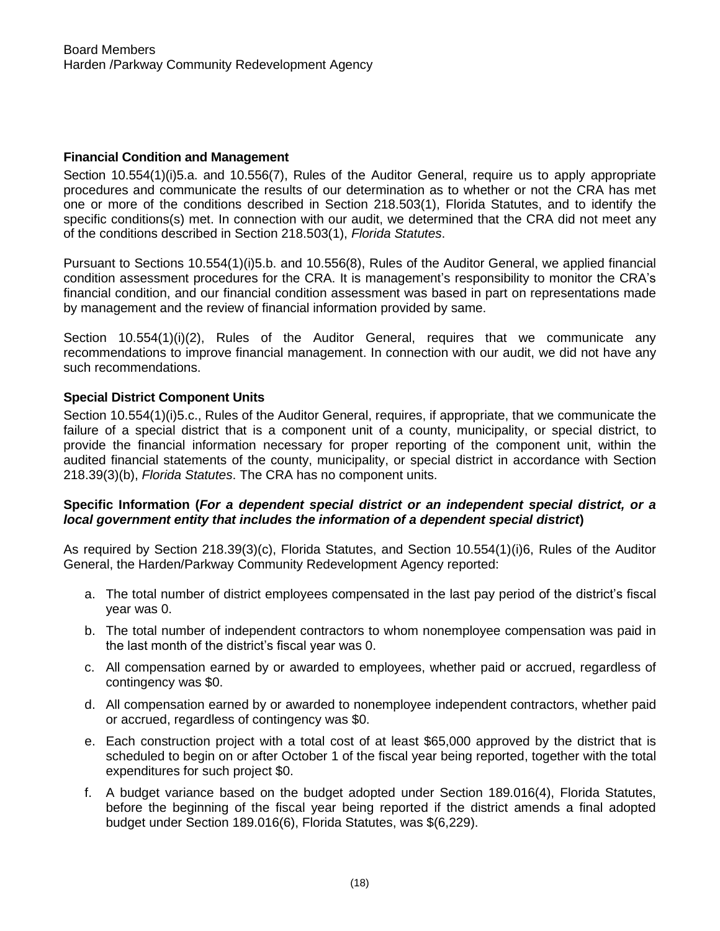## **Financial Condition and Management**

Section 10.554(1)(i)5.a. and 10.556(7), Rules of the Auditor General, require us to apply appropriate procedures and communicate the results of our determination as to whether or not the CRA has met one or more of the conditions described in Section 218.503(1), Florida Statutes, and to identify the specific conditions(s) met. In connection with our audit, we determined that the CRA did not meet any of the conditions described in Section 218.503(1), *Florida Statutes*.

Pursuant to Sections 10.554(1)(i)5.b. and 10.556(8), Rules of the Auditor General, we applied financial condition assessment procedures for the CRA. It is management's responsibility to monitor the CRA's financial condition, and our financial condition assessment was based in part on representations made by management and the review of financial information provided by same.

Section 10.554(1)(i)(2), Rules of the Auditor General, requires that we communicate any recommendations to improve financial management. In connection with our audit, we did not have any such recommendations.

# **Special District Component Units**

Section 10.554(1)(i)5.c., Rules of the Auditor General, requires, if appropriate, that we communicate the failure of a special district that is a component unit of a county, municipality, or special district, to provide the financial information necessary for proper reporting of the component unit, within the audited financial statements of the county, municipality, or special district in accordance with Section 218.39(3)(b), *Florida Statutes*. The CRA has no component units.

### **Specific Information (***For a dependent special district or an independent special district, or a local government entity that includes the information of a dependent special district***)**

As required by Section 218.39(3)(c), Florida Statutes, and Section 10.554(1)(i)6, Rules of the Auditor General, the Harden/Parkway Community Redevelopment Agency reported:

- a. The total number of district employees compensated in the last pay period of the district's fiscal year was 0.
- b. The total number of independent contractors to whom nonemployee compensation was paid in the last month of the district's fiscal year was 0.
- c. All compensation earned by or awarded to employees, whether paid or accrued, regardless of contingency was \$0.
- d. All compensation earned by or awarded to nonemployee independent contractors, whether paid or accrued, regardless of contingency was \$0.
- e. Each construction project with a total cost of at least \$65,000 approved by the district that is scheduled to begin on or after October 1 of the fiscal year being reported, together with the total expenditures for such project \$0.
- f. A budget variance based on the budget adopted under Section 189.016(4), Florida Statutes, before the beginning of the fiscal year being reported if the district amends a final adopted budget under Section 189.016(6), Florida Statutes, was \$(6,229).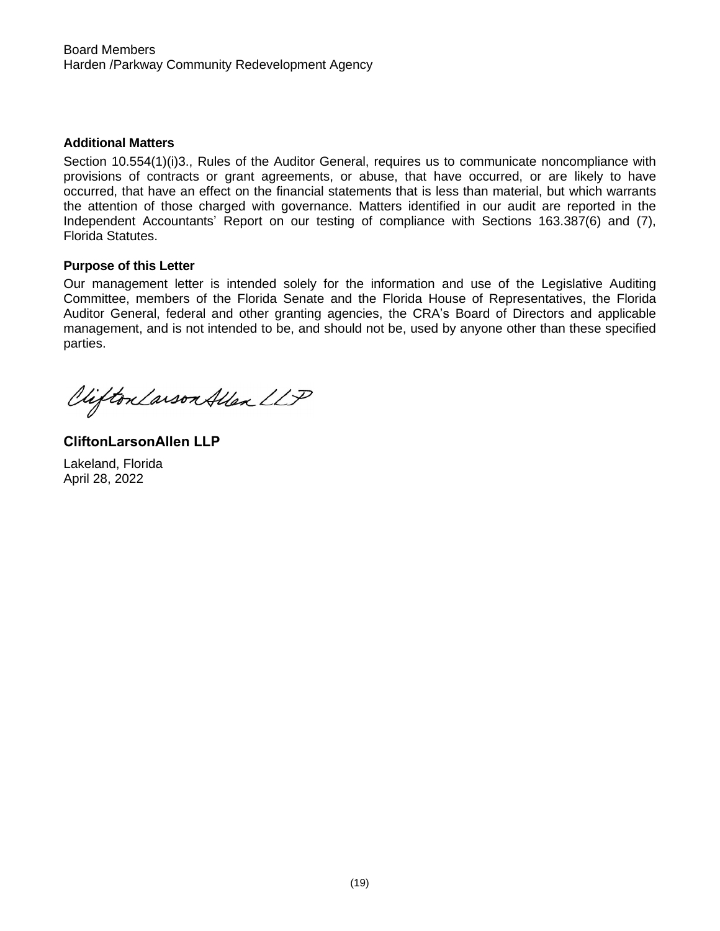### **Additional Matters**

Section 10.554(1)(i)3., Rules of the Auditor General, requires us to communicate noncompliance with provisions of contracts or grant agreements, or abuse, that have occurred, or are likely to have occurred, that have an effect on the financial statements that is less than material, but which warrants the attention of those charged with governance. Matters identified in our audit are reported in the Independent Accountants' Report on our testing of compliance with Sections 163.387(6) and (7), Florida Statutes.

### **Purpose of this Letter**

Our management letter is intended solely for the information and use of the Legislative Auditing Committee, members of the Florida Senate and the Florida House of Representatives, the Florida Auditor General, federal and other granting agencies, the CRA's Board of Directors and applicable management, and is not intended to be, and should not be, used by anyone other than these specified parties.

Viifton Larson Allen LLP

**CliftonLarsonAllen LLP** Lakeland, Florida April 28, 2022